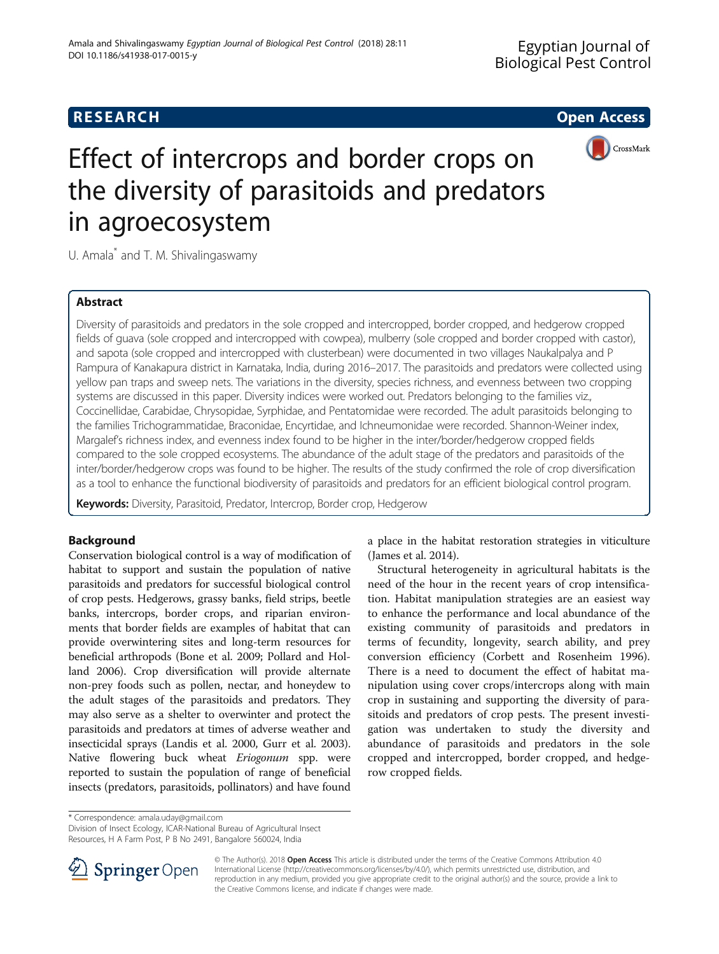## **RESEARCH CHE Open Access**



# Effect of intercrops and border crops on the diversity of parasitoids and predators in agroecosystem

U. Amala\* and T. M. Shivalingaswamy

#### Abstract

Diversity of parasitoids and predators in the sole cropped and intercropped, border cropped, and hedgerow cropped fields of guava (sole cropped and intercropped with cowpea), mulberry (sole cropped and border cropped with castor), and sapota (sole cropped and intercropped with clusterbean) were documented in two villages Naukalpalya and P Rampura of Kanakapura district in Karnataka, India, during 2016–2017. The parasitoids and predators were collected using yellow pan traps and sweep nets. The variations in the diversity, species richness, and evenness between two cropping systems are discussed in this paper. Diversity indices were worked out. Predators belonging to the families viz., Coccinellidae, Carabidae, Chrysopidae, Syrphidae, and Pentatomidae were recorded. The adult parasitoids belonging to the families Trichogrammatidae, Braconidae, Encyrtidae, and Ichneumonidae were recorded. Shannon-Weiner index, Margalef's richness index, and evenness index found to be higher in the inter/border/hedgerow cropped fields compared to the sole cropped ecosystems. The abundance of the adult stage of the predators and parasitoids of the inter/border/hedgerow crops was found to be higher. The results of the study confirmed the role of crop diversification as a tool to enhance the functional biodiversity of parasitoids and predators for an efficient biological control program.

Keywords: Diversity, Parasitoid, Predator, Intercrop, Border crop, Hedgerow

#### Background

Conservation biological control is a way of modification of habitat to support and sustain the population of native parasitoids and predators for successful biological control of crop pests. Hedgerows, grassy banks, field strips, beetle banks, intercrops, border crops, and riparian environments that border fields are examples of habitat that can provide overwintering sites and long-term resources for beneficial arthropods (Bone et al. [2009;](#page-3-0) Pollard and Holland [2006](#page-3-0)). Crop diversification will provide alternate non-prey foods such as pollen, nectar, and honeydew to the adult stages of the parasitoids and predators. They may also serve as a shelter to overwinter and protect the parasitoids and predators at times of adverse weather and insecticidal sprays (Landis et al. [2000,](#page-3-0) Gurr et al. [2003](#page-3-0)). Native flowering buck wheat *Eriogonum* spp. were reported to sustain the population of range of beneficial insects (predators, parasitoids, pollinators) and have found

a place in the habitat restoration strategies in viticulture (James et al. [2014](#page-3-0)).

Structural heterogeneity in agricultural habitats is the need of the hour in the recent years of crop intensification. Habitat manipulation strategies are an easiest way to enhance the performance and local abundance of the existing community of parasitoids and predators in terms of fecundity, longevity, search ability, and prey conversion efficiency (Corbett and Rosenheim [1996](#page-3-0)). There is a need to document the effect of habitat manipulation using cover crops/intercrops along with main crop in sustaining and supporting the diversity of parasitoids and predators of crop pests. The present investigation was undertaken to study the diversity and abundance of parasitoids and predators in the sole cropped and intercropped, border cropped, and hedgerow cropped fields.

\* Correspondence: [amala.uday@gmail.com](mailto:amala.uday@gmail.com)

Division of Insect Ecology, ICAR-National Bureau of Agricultural Insect Resources, H A Farm Post, P B No 2491, Bangalore 560024, India



© The Author(s). 2018 Open Access This article is distributed under the terms of the Creative Commons Attribution 4.0 International License ([http://creativecommons.org/licenses/by/4.0/\)](http://creativecommons.org/licenses/by/4.0/), which permits unrestricted use, distribution, and reproduction in any medium, provided you give appropriate credit to the original author(s) and the source, provide a link to the Creative Commons license, and indicate if changes were made.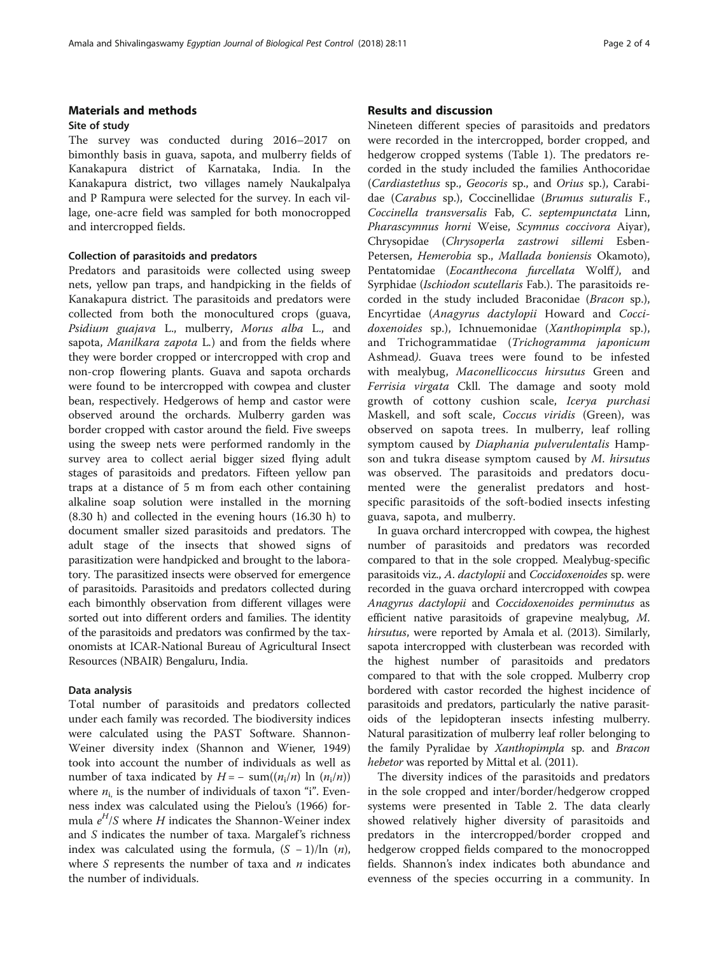#### Materials and methods

#### Site of study

The survey was conducted during 2016–2017 on bimonthly basis in guava, sapota, and mulberry fields of Kanakapura district of Karnataka, India. In the Kanakapura district, two villages namely Naukalpalya and P Rampura were selected for the survey. In each village, one-acre field was sampled for both monocropped and intercropped fields.

#### Collection of parasitoids and predators

Predators and parasitoids were collected using sweep nets, yellow pan traps, and handpicking in the fields of Kanakapura district. The parasitoids and predators were collected from both the monocultured crops (guava, Psidium guajava L., mulberry, Morus alba L., and sapota, Manilkara zapota L.) and from the fields where they were border cropped or intercropped with crop and non-crop flowering plants. Guava and sapota orchards were found to be intercropped with cowpea and cluster bean, respectively. Hedgerows of hemp and castor were observed around the orchards. Mulberry garden was border cropped with castor around the field. Five sweeps using the sweep nets were performed randomly in the survey area to collect aerial bigger sized flying adult stages of parasitoids and predators. Fifteen yellow pan traps at a distance of 5 m from each other containing alkaline soap solution were installed in the morning (8.30 h) and collected in the evening hours (16.30 h) to document smaller sized parasitoids and predators. The adult stage of the insects that showed signs of parasitization were handpicked and brought to the laboratory. The parasitized insects were observed for emergence of parasitoids. Parasitoids and predators collected during each bimonthly observation from different villages were sorted out into different orders and families. The identity of the parasitoids and predators was confirmed by the taxonomists at ICAR-National Bureau of Agricultural Insect Resources (NBAIR) Bengaluru, India.

#### Data analysis

Total number of parasitoids and predators collected under each family was recorded. The biodiversity indices were calculated using the PAST Software. Shannon-Weiner diversity index (Shannon and Wiener, [1949](#page-3-0)) took into account the number of individuals as well as number of taxa indicated by  $H = - \text{sum}((n_i/n) \ln (n_i/n))$ where  $n_i$  is the number of individuals of taxon "i". Evenness index was calculated using the Pielou's ([1966](#page-3-0)) formula  $e^{H}/S$  where H indicates the Shannon-Weiner index and S indicates the number of taxa. Margalef's richness index was calculated using the formula,  $(S - 1)/\ln(n)$ , where S represents the number of taxa and  $n$  indicates the number of individuals.

#### Results and discussion

Nineteen different species of parasitoids and predators were recorded in the intercropped, border cropped, and hedgerow cropped systems (Table [1](#page-2-0)). The predators recorded in the study included the families Anthocoridae (Cardiastethus sp., Geocoris sp., and Orius sp.), Carabidae (Carabus sp.), Coccinellidae (Brumus suturalis F., Coccinella transversalis Fab, C. septempunctata Linn, Pharascymnus horni Weise, Scymnus coccivora Aiyar), Chrysopidae (Chrysoperla zastrowi sillemi Esben-Petersen, Hemerobia sp., Mallada boniensis Okamoto), Pentatomidae (Eocanthecona furcellata Wolff), and Syrphidae (Ischiodon scutellaris Fab.). The parasitoids recorded in the study included Braconidae (Bracon sp.), Encyrtidae (Anagyrus dactylopii Howard and Coccidoxenoides sp.), Ichnuemonidae (Xanthopimpla sp.), and Trichogrammatidae (Trichogramma japonicum Ashmead). Guava trees were found to be infested with mealybug, Maconellicoccus hirsutus Green and Ferrisia virgata Ckll. The damage and sooty mold growth of cottony cushion scale, Icerya purchasi Maskell, and soft scale, Coccus viridis (Green), was observed on sapota trees. In mulberry, leaf rolling symptom caused by Diaphania pulverulentalis Hampson and tukra disease symptom caused by M. hirsutus was observed. The parasitoids and predators documented were the generalist predators and hostspecific parasitoids of the soft-bodied insects infesting guava, sapota, and mulberry.

In guava orchard intercropped with cowpea, the highest number of parasitoids and predators was recorded compared to that in the sole cropped. Mealybug-specific parasitoids viz., A. dactylopii and Coccidoxenoides sp. were recorded in the guava orchard intercropped with cowpea Anagyrus dactylopii and Coccidoxenoides perminutus as efficient native parasitoids of grapevine mealybug, M. hirsutus, were reported by Amala et al. [\(2013](#page-3-0)). Similarly, sapota intercropped with clusterbean was recorded with the highest number of parasitoids and predators compared to that with the sole cropped. Mulberry crop bordered with castor recorded the highest incidence of parasitoids and predators, particularly the native parasitoids of the lepidopteran insects infesting mulberry. Natural parasitization of mulberry leaf roller belonging to the family Pyralidae by Xanthopimpla sp. and Bracon hebetor was reported by Mittal et al. ([2011\)](#page-3-0).

The diversity indices of the parasitoids and predators in the sole cropped and inter/border/hedgerow cropped systems were presented in Table [2](#page-2-0). The data clearly showed relatively higher diversity of parasitoids and predators in the intercropped/border cropped and hedgerow cropped fields compared to the monocropped fields. Shannon's index indicates both abundance and evenness of the species occurring in a community. In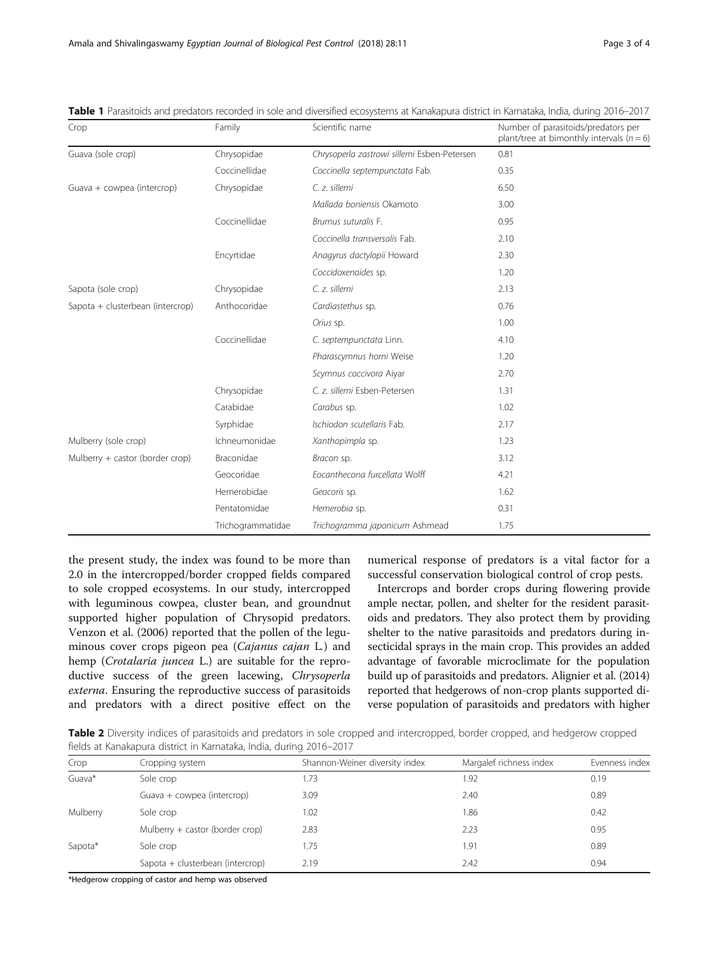| Crop                             | Family            | Scientific name                             | Number of parasitoids/predators per<br>plant/tree at bimonthly intervals $(n = 6)$ |
|----------------------------------|-------------------|---------------------------------------------|------------------------------------------------------------------------------------|
| Guava (sole crop)                | Chrysopidae       | Chrysoperla zastrowi sillemi Esben-Petersen | 0.81                                                                               |
|                                  | Coccinellidae     | Coccinella septempunctata Fab.              | 0.35                                                                               |
| Guava + cowpea (intercrop)       | Chrysopidae       | C. z. sillemi                               | 6.50                                                                               |
|                                  |                   | Mallada boniensis Okamoto                   | 3.00                                                                               |
|                                  | Coccinellidae     | Brumus suturalis F.                         | 0.95                                                                               |
|                                  |                   | Coccinella transversalis Fab.               | 2.10                                                                               |
|                                  | Encyrtidae        | Anagyrus dactylopii Howard                  | 2.30                                                                               |
|                                  |                   | Coccidoxenoides sp.                         | 1.20                                                                               |
| Sapota (sole crop)               | Chrysopidae       | C. z. sillemi                               | 2.13                                                                               |
| Sapota + clusterbean (intercrop) | Anthocoridae      | Cardiastethus sp.                           | 0.76                                                                               |
|                                  |                   | Orius sp.                                   | 1.00                                                                               |
|                                  | Coccinellidae     | C. septempunctata Linn.                     | 4.10                                                                               |
|                                  |                   | Pharascymnus horni Weise                    | 1.20                                                                               |
|                                  |                   | Scymnus coccivora Aiyar                     | 2.70                                                                               |
|                                  | Chrysopidae       | C. z. sillemi Esben-Petersen                | 1.31                                                                               |
|                                  | Carabidae         | Carabus sp.                                 | 1.02                                                                               |
|                                  | Syrphidae         | Ischiodon scutellaris Fab.                  | 2.17                                                                               |
| Mulberry (sole crop)             | Ichneumonidae     | Xanthopimpla sp.                            | 1.23                                                                               |
| Mulberry + castor (border crop)  | Braconidae        | Bracon sp.                                  | 3.12                                                                               |
|                                  | Geocoridae        | Focanthecona furcellata Wolff               | 4.21                                                                               |
|                                  | Hemerobidae       | Geocoris sp.                                | 1.62                                                                               |
|                                  | Pentatomidae      | Hemerobia sp.                               | 0.31                                                                               |
|                                  | Trichogrammatidae | Trichogramma japonicum Ashmead              | 1.75                                                                               |

<span id="page-2-0"></span>Table 1 Parasitoids and predators recorded in sole and diversified ecosystems at Kanakapura district in Karnataka, India, during 2016–2017

the present study, the index was found to be more than 2.0 in the intercropped/border cropped fields compared to sole cropped ecosystems. In our study, intercropped with leguminous cowpea, cluster bean, and groundnut supported higher population of Chrysopid predators. Venzon et al. ([2006](#page-3-0)) reported that the pollen of the leguminous cover crops pigeon pea (Cajanus cajan L.) and hemp (Crotalaria juncea L.) are suitable for the reproductive success of the green lacewing, Chrysoperla externa. Ensuring the reproductive success of parasitoids and predators with a direct positive effect on the

numerical response of predators is a vital factor for a successful conservation biological control of crop pests.

Intercrops and border crops during flowering provide ample nectar, pollen, and shelter for the resident parasitoids and predators. They also protect them by providing shelter to the native parasitoids and predators during insecticidal sprays in the main crop. This provides an added advantage of favorable microclimate for the population build up of parasitoids and predators. Alignier et al. [\(2014](#page-3-0)) reported that hedgerows of non-crop plants supported diverse population of parasitoids and predators with higher

Table 2 Diversity indices of parasitoids and predators in sole cropped and intercropped, border cropped, and hedgerow cropped fields at Kanakapura district in Karnataka, India, during 2016–2017

| Crop     | Cropping system                   | Shannon-Weiner diversity index | Margalef richness index | Evenness index |
|----------|-----------------------------------|--------------------------------|-------------------------|----------------|
| Guava*   | Sole crop                         | 73ء                            | 1.92                    | 0.19           |
|          | Guava + cowpea (intercrop)        | 3.09                           | 2.40                    | 0.89           |
| Mulberry | Sole crop                         | 1.02                           | 1.86                    | 0.42           |
|          | Mulberry $+$ castor (border crop) | 2.83                           | 2.23                    | 0.95           |
| Sapota*  | Sole crop                         | 1.75                           | 1.91                    | 0.89           |
|          | Sapota + clusterbean (intercrop)  | 2.19                           | 2.42                    | 0.94           |

\*Hedgerow cropping of castor and hemp was observed